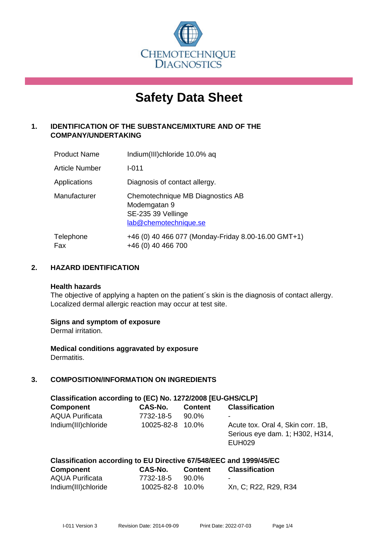

# **Safety Data Sheet**

# **1. IDENTIFICATION OF THE SUBSTANCE/MIXTURE AND OF THE COMPANY/UNDERTAKING**

| <b>Product Name</b> | Indium(III)chloride 10.0% aq                                                                    |
|---------------------|-------------------------------------------------------------------------------------------------|
| Article Number      | $I - 011$                                                                                       |
| Applications        | Diagnosis of contact allergy.                                                                   |
| Manufacturer        | Chemotechnique MB Diagnostics AB<br>Modemgatan 9<br>SE-235 39 Vellinge<br>lab@chemotechnique.se |
| Telephone<br>Fax    | +46 (0) 40 466 077 (Monday-Friday 8.00-16.00 GMT+1)<br>+46 (0) 40 466 700                       |

# **2. HAZARD IDENTIFICATION**

#### **Health hazards**

The objective of applying a hapten on the patient's skin is the diagnosis of contact allergy. Localized dermal allergic reaction may occur at test site.

## **Signs and symptom of exposure**

Dermal irritation.

**Medical conditions aggravated by exposure** Dermatitis.

# **3. COMPOSITION/INFORMATION ON INGREDIENTS**

| Classification according to (EC) No. 1272/2008 [EU-GHS/CLP] |                  |                |                                                                                       |
|-------------------------------------------------------------|------------------|----------------|---------------------------------------------------------------------------------------|
| <b>Component</b>                                            | CAS-No.          | <b>Content</b> | <b>Classification</b>                                                                 |
| <b>AQUA Purificata</b>                                      | 7732-18-5        | $90.0\%$       | ۰                                                                                     |
| Indium(III)chloride                                         | 10025-82-8 10.0% |                | Acute tox. Oral 4, Skin corr. 1B,<br>Serious eye dam. 1; H302, H314,<br><b>EUH029</b> |

|                  | Classification according to EU Directive 67/548/EEC and 1999/45/EC |                |                       |
|------------------|--------------------------------------------------------------------|----------------|-----------------------|
| <b>Component</b> | CAS-No.                                                            | <b>Content</b> | <b>Classification</b> |

| <b>OUTINAIR</b>     | VAV 11V1         | <b>VUIREN</b> | <b>VIUJJIIIVULIVII</b> |
|---------------------|------------------|---------------|------------------------|
| AQUA Purificata     | 7732-18-5        | 90.0%         |                        |
| Indium(III)chloride | 10025-82-8 10.0% |               | Xn, C; R22, R29, R34   |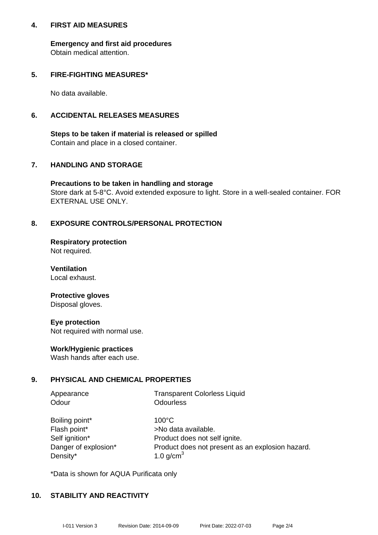## **4. FIRST AID MEASURES**

**Emergency and first aid procedures** Obtain medical attention.

## **5. FIRE-FIGHTING MEASURES\***

No data available.

## **6. ACCIDENTAL RELEASES MEASURES**

**Steps to be taken if material is released or spilled** Contain and place in a closed container.

# **7. HANDLING AND STORAGE**

**Precautions to be taken in handling and storage** Store dark at 5-8°C. Avoid extended exposure to light. Store in a well-sealed container. FOR EXTERNAL USE ONLY.

# **8. EXPOSURE CONTROLS/PERSONAL PROTECTION**

**Respiratory protection** Not required.

**Ventilation** Local exhaust.

#### **Protective gloves** Disposal gloves.

**Eye protection** Not required with normal use.

## **Work/Hygienic practices**

Wash hands after each use.

## **9. PHYSICAL AND CHEMICAL PROPERTIES**

| Appearance | <b>Transparent Colorless Liquid</b> |
|------------|-------------------------------------|
| Odour      | Odourless                           |

| Boiling point*       |
|----------------------|
| Flash point*         |
| Self ignition*       |
| Danger of explosion* |
| Density*             |

 $100^{\circ}$ C >No data available. Product does not self ignite. Product does not present as an explosion hazard. 1.0 g/cm $<sup>3</sup>$ </sup>

\*Data is shown for AQUA Purificata only

## **10. STABILITY AND REACTIVITY**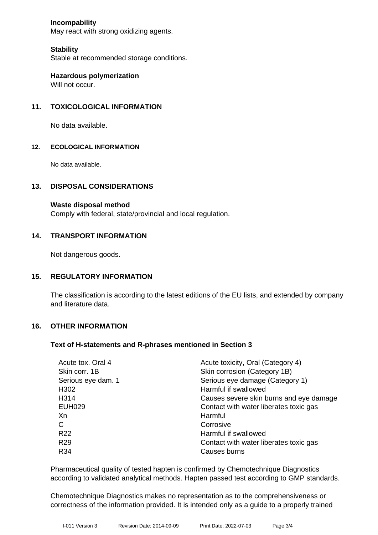## **Incompability**

May react with strong oxidizing agents.

# **Stability**

Stable at recommended storage conditions.

**Hazardous polymerization** Will not occur.

# **11. TOXICOLOGICAL INFORMATION**

No data available.

#### **12. ECOLOGICAL INFORMATION**

No data available.

## **13. DISPOSAL CONSIDERATIONS**

**Waste disposal method**

Comply with federal, state/provincial and local regulation.

#### **14. TRANSPORT INFORMATION**

Not dangerous goods.

## **15. REGULATORY INFORMATION**

The classification is according to the latest editions of the EU lists, and extended by company and literature data.

## **16. OTHER INFORMATION**

#### **Text of H-statements and R-phrases mentioned in Section 3**

| Acute tox. Oral 4  | Acute toxicity, Oral (Category 4)       |
|--------------------|-----------------------------------------|
| Skin corr. 1B      | Skin corrosion (Category 1B)            |
| Serious eye dam. 1 | Serious eye damage (Category 1)         |
| H <sub>302</sub>   | Harmful if swallowed                    |
| H314               | Causes severe skin burns and eye damage |
| <b>EUH029</b>      | Contact with water liberates toxic gas  |
| Xn                 | Harmful                                 |
| C                  | Corrosive                               |
| R <sub>22</sub>    | Harmful if swallowed                    |
| R <sub>29</sub>    | Contact with water liberates toxic gas  |
| R34                | Causes burns                            |

Pharmaceutical quality of tested hapten is confirmed by Chemotechnique Diagnostics according to validated analytical methods. Hapten passed test according to GMP standards.

Chemotechnique Diagnostics makes no representation as to the comprehensiveness or correctness of the information provided. It is intended only as a guide to a properly trained